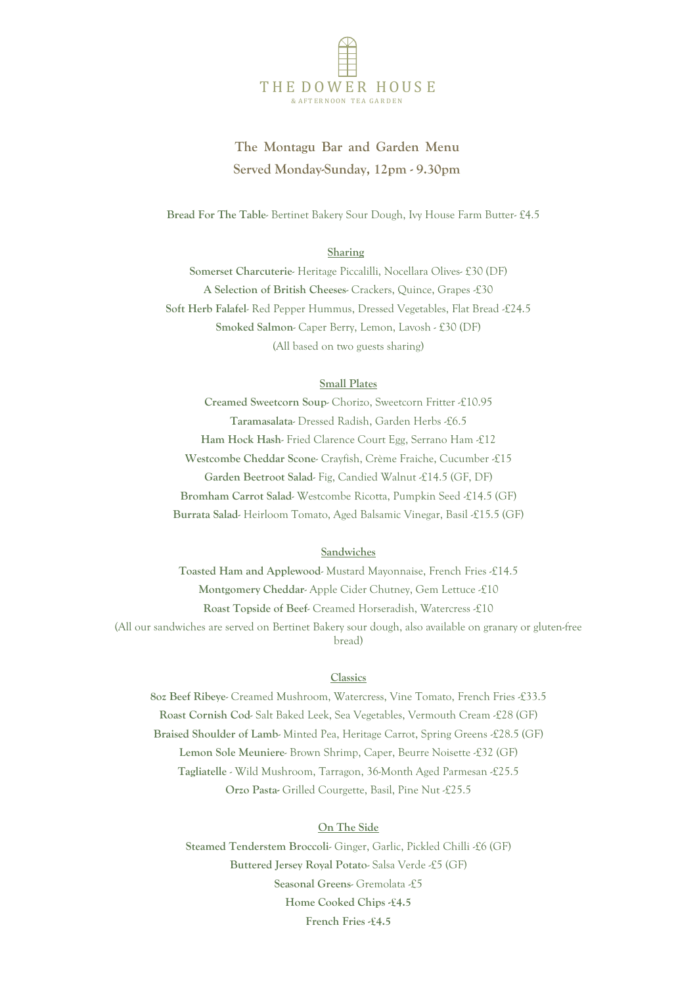

# **The Montagu Bar and Garden Menu Served Monday-Sunday, 12pm - 9.30pm**

 **Bread For The Table**- Bertinet Bakery Sour Dough, Ivy House Farm Butter- £4.5

#### **Sharing**

**Somerset Charcuterie**- Heritage Piccalilli, Nocellara Olives- £30 (DF) **A Selection of British Cheeses**- Crackers, Quince, Grapes -£30 Soft Herb Falafel- Red Pepper Hummus, Dressed Vegetables, Flat Bread £24.5 **Smoked Salmon**- Caper Berry, Lemon, Lavosh - £30 (DF) (All based on two guests sharing)

### **Small Plates**

**Creamed Sweetcorn Soup**- Chorizo, Sweetcorn Fritter -£10.95 **Taramasalata**- Dressed Radish, Garden Herbs -£6.5 **Ham Hock Hash**- Fried Clarence Court Egg, Serrano Ham -£12 **Westcombe Cheddar Scone**- Crayfish, Crème Fraiche, Cucumber -£15 **Garden Beetroot Salad**- Fig, Candied Walnut -£14.5 (GF, DF) **Bromham Carrot Salad**- Westcombe Ricotta, Pumpkin Seed -£14.5 (GF) **Burrata Salad**- Heirloom Tomato, Aged Balsamic Vinegar, Basil -£15.5 (GF)

# **Sandwiches**

**Toasted Ham and Applewood**- Mustard Mayonnaise, French Fries -£14.5 **Montgomery Cheddar**- Apple Cider Chutney, Gem Lettuce -£10 **Roast Topside of Beef**- Creamed Horseradish, Watercress -£10 (All our sandwiches are served on Bertinet Bakery sour dough, also available on granary or gluten-free bread)

# **Classics**

**8oz Beef Ribeye**- Creamed Mushroom, Watercress, Vine Tomato, French Fries -£33.5 **Roast Cornish Cod**- Salt Baked Leek, Sea Vegetables, Vermouth Cream -£28 (GF) **Braised Shoulder of Lamb**- Minted Pea, Heritage Carrot, Spring Greens -£28.5 (GF) **Lemon Sole Meuniere**- Brown Shrimp, Caper, Beurre Noisette -£32 (GF) **Tagliatelle** - Wild Mushroom, Tarragon, 36-Month Aged Parmesan -£25.5 **Orzo Pasta-** Grilled Courgette, Basil, Pine Nut -£25.5

# **On The Side**

**Steamed Tenderstem Broccoli**- Ginger, Garlic, Pickled Chilli -£6 (GF) **Buttered Jersey Royal Potato**- Salsa Verde -£5 (GF) **Seasonal Greens**- Gremolata -£5 **Home Cooked Chips -£4.5 French Fries -£4.5**